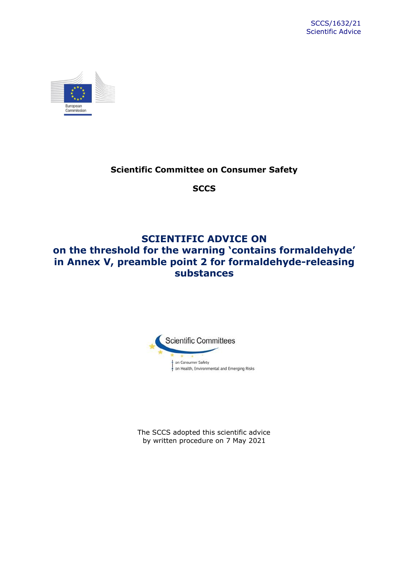

# **Scientific Committee on Consumer Safety**

**SCCS**

# **SCIENTIFIC ADVICE ON on the threshold for the warning 'contains formaldehyde' in Annex V, preamble point 2 for formaldehyde-releasing substances**



The SCCS adopted this scientific advice by written procedure on 7 May 2021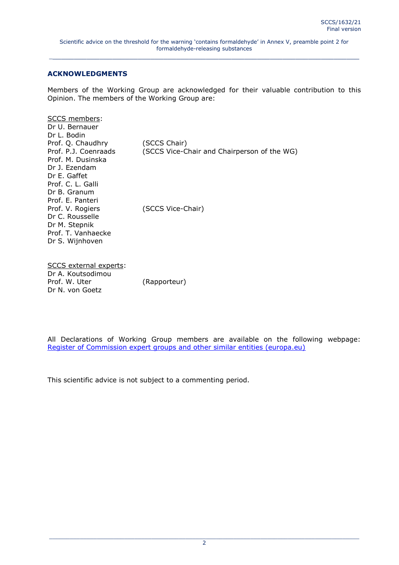### **ACKNOWLEDGMENTS**

Members of the Working Group are acknowledged for their valuable contribution to this Opinion. The members of the Working Group are:

| SCCS members:<br>Dr U. Bernauer<br>Dr L. Bodin<br>Prof. Q. Chaudhry<br>Prof. P.J. Coenraads<br>Prof. M. Dusinska | (SCCS Chair)<br>(SCCS Vice-Chair and Chairperson of the WG) |
|------------------------------------------------------------------------------------------------------------------|-------------------------------------------------------------|
| Dr J. Ezendam                                                                                                    |                                                             |
| Dr E. Gaffet                                                                                                     |                                                             |
| Prof. C. L. Galli                                                                                                |                                                             |
| Dr B. Granum                                                                                                     |                                                             |
| Prof. E. Panteri                                                                                                 |                                                             |
| Prof. V. Rogiers                                                                                                 | (SCCS Vice-Chair)                                           |
| Dr C. Rousselle                                                                                                  |                                                             |
| Dr M. Stepnik                                                                                                    |                                                             |
| Prof. T. Vanhaecke                                                                                               |                                                             |
| Dr S. Wijnhoven                                                                                                  |                                                             |
|                                                                                                                  |                                                             |

SCCS external experts: Dr A. Koutsodimou Prof. W. Uter (Rapporteur) Dr N. von Goetz

All Declarations of Working Group members are available on the following webpage: [Register of Commission expert groups and other similar entities \(europa.eu\)](https://ec.europa.eu/transparency/expert-groups-register/screen/home)

This scientific advice is not subject to a commenting period.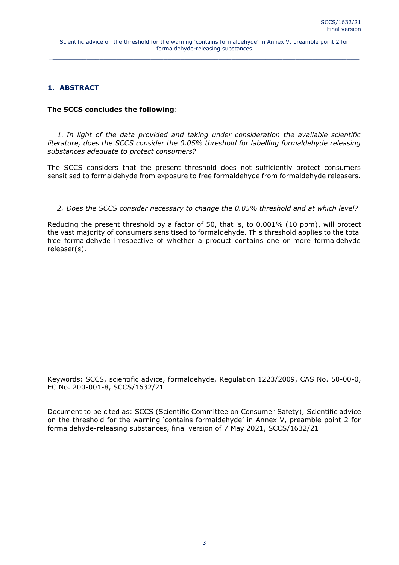## <span id="page-2-0"></span>**1. ABSTRACT**

### **The SCCS concludes the following**:

*1. In light of the data provided and taking under consideration the available scientific literature, does the SCCS consider the 0.05% threshold for labelling formaldehyde releasing substances adequate to protect consumers?*

The SCCS considers that the present threshold does not sufficiently protect consumers sensitised to formaldehyde from exposure to free formaldehyde from formaldehyde releasers.

#### *2. Does the SCCS consider necessary to change the 0.05% threshold and at which level?*

Reducing the present threshold by a factor of 50, that is, to 0.001% (10 ppm), will protect the vast majority of consumers sensitised to formaldehyde. This threshold applies to the total free formaldehyde irrespective of whether a product contains one or more formaldehyde releaser(s).

Keywords: SCCS, scientific advice, formaldehyde, Regulation 1223/2009, CAS No. 50-00-0, EC No. 200-001-8, SCCS/1632/21

Document to be cited as: SCCS (Scientific Committee on Consumer Safety), Scientific advice on the threshold for the warning 'contains formaldehyde' in Annex V, preamble point 2 for formaldehyde-releasing substances, final version of 7 May 2021, SCCS/1632/21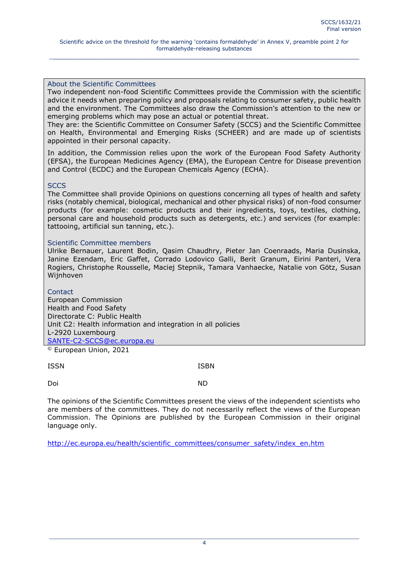#### About the Scientific Committees

Two independent non-food Scientific Committees provide the Commission with the scientific advice it needs when preparing policy and proposals relating to consumer safety, public health and the environment. The Committees also draw the Commission's attention to the new or emerging problems which may pose an actual or potential threat.

They are: the Scientific Committee on Consumer Safety (SCCS) and the Scientific Committee on Health, Environmental and Emerging Risks (SCHEER) and are made up of scientists appointed in their personal capacity.

In addition, the Commission relies upon the work of the European Food Safety Authority (EFSA), the European Medicines Agency (EMA), the European Centre for Disease prevention and Control (ECDC) and the European Chemicals Agency (ECHA).

#### **SCCS**

The Committee shall provide Opinions on questions concerning all types of health and safety risks (notably chemical, biological, mechanical and other physical risks) of non-food consumer products (for example: cosmetic products and their ingredients, toys, textiles, clothing, personal care and household products such as detergents, etc.) and services (for example: tattooing, artificial sun tanning, etc.).

#### Scientific Committee members

Ulrike Bernauer, Laurent Bodin, Qasim Chaudhry, Pieter Jan Coenraads, Maria Dusinska, Janine Ezendam, Eric Gaffet, Corrado Lodovico Galli, Berit Granum, Eirini Panteri, Vera Rogiers, Christophe Rousselle, Maciej Stepnik, Tamara Vanhaecke, Natalie von Götz, Susan Wijnhoven

**Contact** European Commission Health and Food Safety Directorate C: Public Health Unit C2: Health information and integration in all policies L-2920 Luxembourg [SANTE-C2-SCCS@ec.europa.eu](mailto:SANTE-C2-SCCS@ec.europa.eu)

© European Union, 2021

ISSN ISBN

Doi ND

The opinions of the Scientific Committees present the views of the independent scientists who are members of the committees. They do not necessarily reflect the views of the European Commission. The Opinions are published by the European Commission in their original language only.

[http://ec.europa.eu/health/scientific\\_committees/consumer\\_safety/index\\_en.htm](http://ec.europa.eu/health/scientific_committees/consumer_safety/index_en.htm)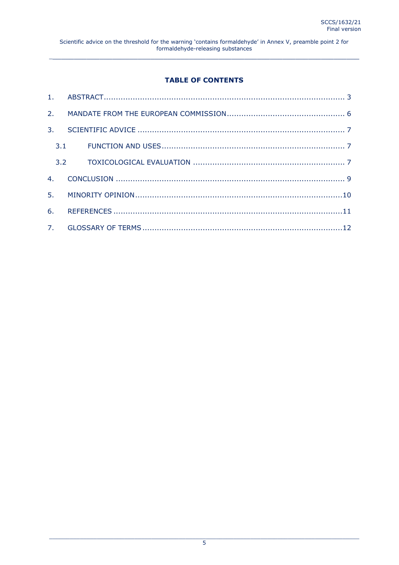# **TABLE OF CONTENTS**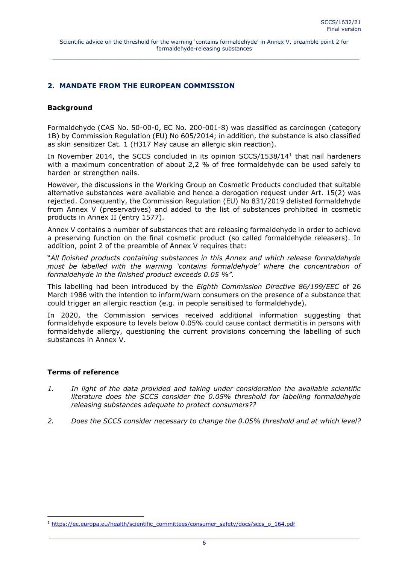#### <span id="page-5-0"></span>**2. MANDATE FROM THE EUROPEAN COMMISSION**

#### **Background**

Formaldehyde (CAS No. 50-00-0, EC No. 200-001-8) was classified as carcinogen (category 1B) by Commission Regulation (EU) No 605/2014; in addition, the substance is also classified as skin sensitizer Cat. 1 (H317 May cause an allergic skin reaction).

In November 2014, the SCCS concluded in its opinion SCCS/1538/14<sup>1</sup> that nail hardeners with a maximum concentration of about 2,2 % of free formaldehyde can be used safely to harden or strengthen nails.

However, the discussions in the Working Group on Cosmetic Products concluded that suitable alternative substances were available and hence a derogation request under Art. 15(2) was rejected. Consequently, the Commission Regulation (EU) No 831/2019 delisted formaldehyde from Annex V (preservatives) and added to the list of substances prohibited in cosmetic products in Annex II (entry 1577).

Annex V contains a number of substances that are releasing formaldehyde in order to achieve a preserving function on the final cosmetic product (so called formaldehyde releasers). In addition, point 2 of the preamble of Annex V requires that:

"*All finished products containing substances in this Annex and which release formaldehyde must be labelled with the warning 'contains formaldehyde' where the concentration of formaldehyde in the finished product exceeds 0.05 %".*

This labelling had been introduced by the *Eighth Commission Directive 86/199/EEC* of 26 March 1986 with the intention to inform/warn consumers on the presence of a substance that could trigger an allergic reaction (e.g. in people sensitised to formaldehyde).

In 2020, the Commission services received additional information suggesting that formaldehyde exposure to levels below 0.05% could cause contact dermatitis in persons with formaldehyde allergy, questioning the current provisions concerning the labelling of such substances in Annex V.

#### **Terms of reference**

 $\overline{a}$ 

- *1. In light of the data provided and taking under consideration the available scientific literature does the SCCS consider the 0.05% threshold for labelling formaldehyde releasing substances adequate to protect consumers??*
- *2. Does the SCCS consider necessary to change the 0.05% threshold and at which level?*

<sup>1</sup> [https://ec.europa.eu/health/scientific\\_committees/consumer\\_safety/docs/sccs\\_o\\_164.pdf](https://ec.europa.eu/health/scientific_committees/consumer_safety/docs/sccs_o_164.pdf)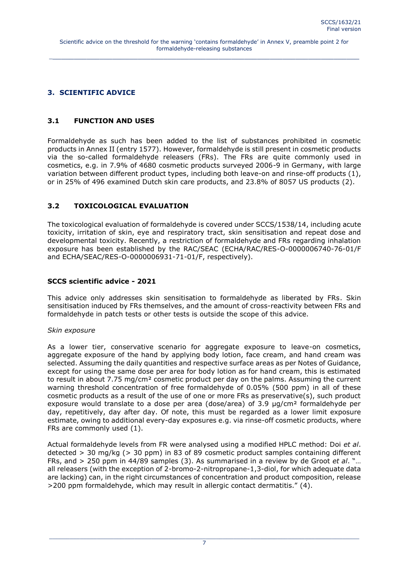## <span id="page-6-0"></span>**3. SCIENTIFIC ADVICE**

## <span id="page-6-1"></span>**3.1 FUNCTION AND USES**

Formaldehyde as such has been added to the list of substances prohibited in cosmetic products in Annex II (entry 1577). However, formaldehyde is still present in cosmetic products via the so-called formaldehyde releasers (FRs). The FRs are quite commonly used in cosmetics, e.g. in 7.9% of 4680 cosmetic products surveyed 2006-9 in Germany, with large variation between different product types, including both leave-on and rinse-off products (1), or in 25% of 496 examined Dutch skin care products, and 23.8% of 8057 US products (2).

## <span id="page-6-2"></span>**3.2 TOXICOLOGICAL EVALUATION**

The toxicological evaluation of formaldehyde is covered under SCCS/1538/14, including acute toxicity, irritation of skin, eye and respiratory tract, skin sensitisation and repeat dose and developmental toxicity. Recently, a restriction of formaldehyde and FRs regarding inhalation exposure has been established by the RAC/SEAC (ECHA/RAC/RES-O-0000006740-76-01/F and ECHA/SEAC/RES-O-0000006931-71-01/F, respectively).

### **SCCS scientific advice - 2021**

This advice only addresses skin sensitisation to formaldehyde as liberated by FRs. Skin sensitisation induced by FRs themselves, and the amount of cross-reactivity between FRs and formaldehyde in patch tests or other tests is outside the scope of this advice.

#### *Skin exposure*

As a lower tier, conservative scenario for aggregate exposure to leave-on cosmetics, aggregate exposure of the hand by applying body lotion, face cream, and hand cream was selected. Assuming the daily quantities and respective surface areas as per Notes of Guidance, except for using the same dose per area for body lotion as for hand cream, this is estimated to result in about 7.75 mg/cm² cosmetic product per day on the palms. Assuming the current warning threshold concentration of free formaldehyde of 0.05% (500 ppm) in all of these cosmetic products as a result of the use of one or more FRs as preservative(s), such product exposure would translate to a dose per area (dose/area) of 3.9 µg/cm<sup>2</sup> formaldehyde per day, repetitively, day after day. Of note, this must be regarded as a lower limit exposure estimate, owing to additional every-day exposures e.g. via rinse-off cosmetic products, where FRs are commonly used (1).

Actual formaldehyde levels from FR were analysed using a modified HPLC method: Doi *et al*. detected > 30 mg/kg (> 30 ppm) in 83 of 89 cosmetic product samples containing different FRs, and > 250 ppm in 44/89 samples (3). As summarised in a review by de Groot *et al*. "… all releasers (with the exception of 2-bromo-2-nitropropane-1,3-diol, for which adequate data are lacking) can, in the right circumstances of concentration and product composition, release >200 ppm formaldehyde, which may result in allergic contact dermatitis." (4).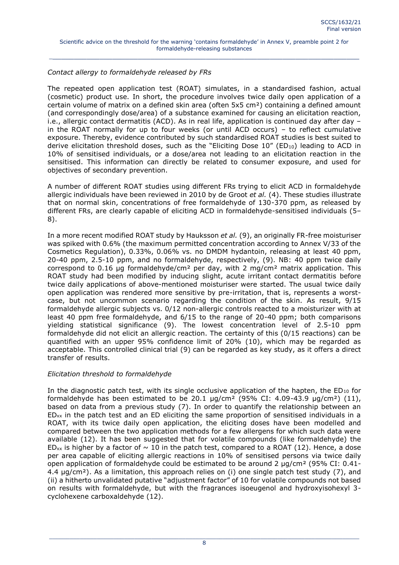## *Contact allergy to formaldehyde released by FRs*

The repeated open application test (ROAT) simulates, in a standardised fashion, actual (cosmetic) product use. In short, the procedure involves twice daily open application of a certain volume of matrix on a defined skin area (often 5x5 cm²) containing a defined amount (and correspondingly dose/area) of a substance examined for causing an elicitation reaction, i.e., allergic contact dermatitis (ACD). As in real life, application is continued day after day – in the ROAT normally for up to four weeks (or until ACD occurs) – to reflect cumulative exposure. Thereby, evidence contributed by such standardised ROAT studies is best suited to derive elicitation threshold doses, such as the "Eliciting Dose  $10''$  (ED<sub>10</sub>) leading to ACD in 10% of sensitised individuals, or a dose/area not leading to an elicitation reaction in the sensitised. This information can directly be related to consumer exposure, and used for objectives of secondary prevention.

A number of different ROAT studies using different FRs trying to elicit ACD in formaldehyde allergic individuals have been reviewed in 2010 by de Groot *et al.* (4). These studies illustrate that on normal skin, concentrations of free formaldehyde of 130-370 ppm, as released by different FRs, are clearly capable of eliciting ACD in formaldehyde-sensitised individuals (5– 8).

In a more recent modified ROAT study by Hauksson *et al.* (9), an originally FR-free moisturiser was spiked with 0.6% (the maximum permitted concentration according to Annex V/33 of the Cosmetics Regulation), 0.33%, 0.06% vs. no DMDM hydantoin, releasing at least 40 ppm, 20-40 ppm, 2.5-10 ppm, and no formaldehyde, respectively, (9). NB: 40 ppm twice daily correspond to 0.16 µg formaldehyde/cm<sup>2</sup> per day, with 2 mg/cm<sup>2</sup> matrix application. This ROAT study had been modified by inducing slight, acute irritant contact dermatitis before twice daily applications of above-mentioned moisturiser were started. The usual twice daily open application was rendered more sensitive by pre-irritation, that is, represents a worstcase, but not uncommon scenario regarding the condition of the skin. As result, 9/15 formaldehyde allergic subjects vs. 0/12 non-allergic controls reacted to a moisturizer with at least 40 ppm free formaldehyde, and 6/15 to the range of 20-40 ppm; both comparisons yielding statistical significance (9). The lowest concentration level of 2.5-10 ppm formaldehyde did not elicit an allergic reaction. The certainty of this (0/15 reactions) can be quantified with an upper 95% confidence limit of 20% (10), which may be regarded as acceptable. This controlled clinical trial (9) can be regarded as key study, as it offers a direct transfer of results.

## *Elicitation threshold to formaldehyde*

In the diagnostic patch test, with its single occlusive application of the hapten, the  $ED_{10}$  for formaldehyde has been estimated to be 20.1  $\mu$ g/cm<sup>2</sup> (95% CI: 4.09-43.9  $\mu$ g/cm<sup>2</sup>) (11), based on data from a previous study (7). In order to quantify the relationship between an  $ED_{xx}$  in the patch test and an ED eliciting the same proportion of sensitised individuals in a ROAT, with its twice daily open application, the eliciting doses have been modelled and compared between the two application methods for a few allergens for which such data were available (12). It has been suggested that for volatile compounds (like formaldehyde) the ED<sub>xx</sub> is higher by a factor of  $\sim$  10 in the patch test, compared to a ROAT (12). Hence, a dose per area capable of eliciting allergic reactions in 10% of sensitised persons via twice daily open application of formaldehyde could be estimated to be around 2  $\mu$ g/cm<sup>2</sup> (95% CI: 0.41-4.4  $\mu$ g/cm<sup>2</sup>). As a limitation, this approach relies on (i) one single patch test study (7), and (ii) a hitherto unvalidated putative "adjustment factor" of 10 for volatile compounds not based on results with formaldehyde, but with the fragrances isoeugenol and hydroxyisohexyl 3 cyclohexene carboxaldehyde (12).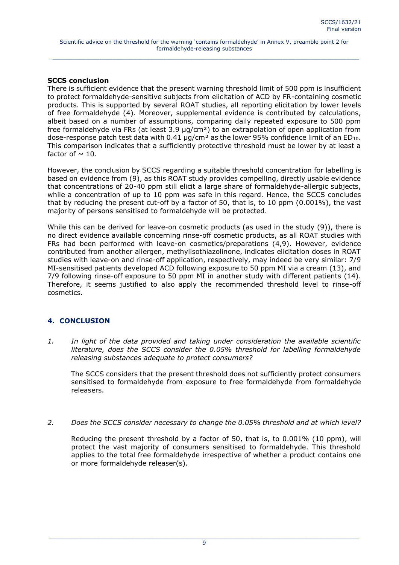## **SCCS conclusion**

There is sufficient evidence that the present warning threshold limit of 500 ppm is insufficient to protect formaldehyde-sensitive subjects from elicitation of ACD by FR-containing cosmetic products. This is supported by several ROAT studies, all reporting elicitation by lower levels of free formaldehyde (4). Moreover, supplemental evidence is contributed by calculations, albeit based on a number of assumptions, comparing daily repeated exposure to 500 ppm free formaldehyde via FRs (at least 3.9 µg/cm²) to an extrapolation of open application from dose-response patch test data with  $0.41 \mu q/cm^2$  as the lower 95% confidence limit of an ED<sub>10</sub>. This comparison indicates that a sufficiently protective threshold must be lower by at least a factor of  $\sim$  10.

However, the conclusion by SCCS regarding a suitable threshold concentration for labelling is based on evidence from (9), as this ROAT study provides compelling, directly usable evidence that concentrations of 20-40 ppm still elicit a large share of formaldehyde-allergic subjects, while a concentration of up to 10 ppm was safe in this regard. Hence, the SCCS concludes that by reducing the present cut-off by a factor of 50, that is, to 10 ppm (0.001%), the vast majority of persons sensitised to formaldehyde will be protected.

While this can be derived for leave-on cosmetic products (as used in the study (9)), there is no direct evidence available concerning rinse-off cosmetic products, as all ROAT studies with FRs had been performed with leave-on cosmetics/preparations (4,9). However, evidence contributed from another allergen, methylisothiazolinone, indicates elicitation doses in ROAT studies with leave-on and rinse-off application, respectively, may indeed be very similar: 7/9 MI-sensitised patients developed ACD following exposure to 50 ppm MI via a cream (13), and 7/9 following rinse-off exposure to 50 ppm MI in another study with different patients (14). Therefore, it seems justified to also apply the recommended threshold level to rinse-off cosmetics.

## <span id="page-8-0"></span>**4. CONCLUSION**

*1. In light of the data provided and taking under consideration the available scientific literature, does the SCCS consider the 0.05% threshold for labelling formaldehyde releasing substances adequate to protect consumers?*

 The SCCS considers that the present threshold does not sufficiently protect consumers sensitised to formaldehyde from exposure to free formaldehyde from formaldehyde releasers.

*2. Does the SCCS consider necessary to change the 0.05% threshold and at which level?* 

 Reducing the present threshold by a factor of 50, that is, to 0.001% (10 ppm), will protect the vast majority of consumers sensitised to formaldehyde. This threshold applies to the total free formaldehyde irrespective of whether a product contains one or more formaldehyde releaser(s).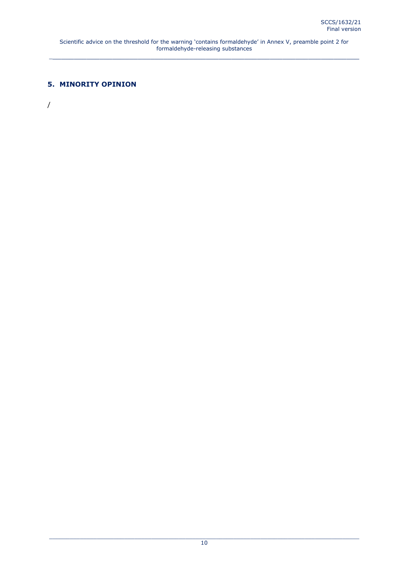## <span id="page-9-0"></span>**5. MINORITY OPINION**

/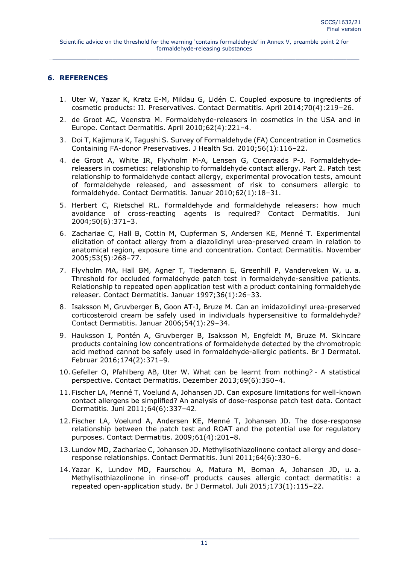## <span id="page-10-0"></span>**6. REFERENCES**

- 1. Uter W, Yazar K, Kratz E-M, Mildau G, Lidén C. Coupled exposure to ingredients of cosmetic products: II. Preservatives. Contact Dermatitis. April 2014;70(4):219–26.
- 2. de Groot AC, Veenstra M. Formaldehyde-releasers in cosmetics in the USA and in Europe. Contact Dermatitis. April 2010;62(4):221–4.
- 3. Doi T, Kajimura K, Tagushi S. Survey of Formaldehyde (FA) Concentration in Cosmetics Containing FA-donor Preservatives. J Health Sci. 2010;56(1):116–22.
- 4. de Groot A, White IR, Flyvholm M-A, Lensen G, Coenraads P-J. Formaldehydereleasers in cosmetics: relationship to formaldehyde contact allergy. Part 2. Patch test relationship to formaldehyde contact allergy, experimental provocation tests, amount of formaldehyde released, and assessment of risk to consumers allergic to formaldehyde. Contact Dermatitis. Januar 2010;62(1):18–31.
- 5. Herbert C, Rietschel RL. Formaldehyde and formaldehyde releasers: how much avoidance of cross-reacting agents is required? Contact Dermatitis. Juni 2004;50(6):371–3.
- 6. Zachariae C, Hall B, Cottin M, Cupferman S, Andersen KE, Menné T. Experimental elicitation of contact allergy from a diazolidinyl urea-preserved cream in relation to anatomical region, exposure time and concentration. Contact Dermatitis. November 2005;53(5):268–77.
- 7. Flyvholm MA, Hall BM, Agner T, Tiedemann E, Greenhill P, Vanderveken W, u. a. Threshold for occluded formaldehyde patch test in formaldehyde-sensitive patients. Relationship to repeated open application test with a product containing formaldehyde releaser. Contact Dermatitis. Januar 1997;36(1):26–33.
- 8. Isaksson M, Gruvberger B, Goon AT-J, Bruze M. Can an imidazolidinyl urea-preserved corticosteroid cream be safely used in individuals hypersensitive to formaldehyde? Contact Dermatitis. Januar 2006;54(1):29–34.
- 9. Hauksson I, Pontén A, Gruvberger B, Isaksson M, Engfeldt M, Bruze M. Skincare products containing low concentrations of formaldehyde detected by the chromotropic acid method cannot be safely used in formaldehyde-allergic patients. Br J Dermatol. Februar 2016;174(2):371–9.
- 10. Gefeller O, Pfahlberg AB, Uter W. What can be learnt from nothing? A statistical perspective. Contact Dermatitis. Dezember 2013;69(6):350–4.
- 11. Fischer LA, Menné T, Voelund A, Johansen JD. Can exposure limitations for well-known contact allergens be simplified? An analysis of dose-response patch test data. Contact Dermatitis. Juni 2011;64(6):337–42.
- 12. Fischer LA, Voelund A, Andersen KE, Menné T, Johansen JD. The dose-response relationship between the patch test and ROAT and the potential use for regulatory purposes. Contact Dermatitis. 2009;61(4):201–8.
- 13. Lundov MD, Zachariae C, Johansen JD. Methylisothiazolinone contact allergy and doseresponse relationships. Contact Dermatitis. Juni 2011;64(6):330–6.
- 14. Yazar K, Lundov MD, Faurschou A, Matura M, Boman A, Johansen JD, u. a. Methylisothiazolinone in rinse-off products causes allergic contact dermatitis: a repeated open-application study. Br J Dermatol. Juli 2015;173(1):115–22.